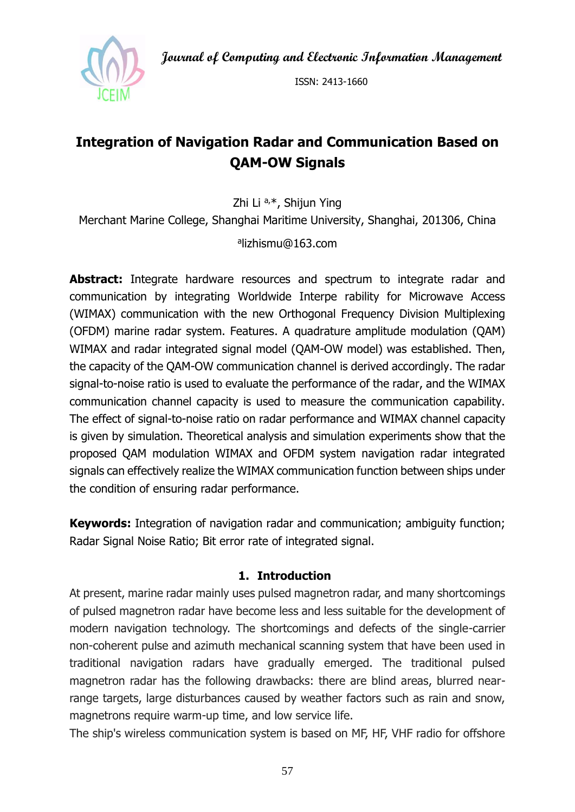**Journal of Computing and Electronic Information Management**



ISSN: 2413-1660

# **Integration of Navigation Radar and Communication Based on QAM-OW Signals**

Zhi Li a,\*, Shijun Ying

Merchant Marine College, Shanghai Maritime University, Shanghai, 201306, China

## a lizhismu@163.com

Abstract: Integrate hardware resources and spectrum to integrate radar and communication by integrating Worldwide Interpe rability for Microwave Access (WIMAX) communication with the new Orthogonal Frequency Division Multiplexing (OFDM) marine radar system. Features. A quadrature amplitude modulation (QAM) WIMAX and radar integrated signal model (QAM-OW model) was established. Then, the capacity of the QAM-OW communication channel is derived accordingly. The radar signal-to-noise ratio is used to evaluate the performance of the radar, and the WIMAX communication channel capacity is used to measure the communication capability. The effect of signal-to-noise ratio on radar performance and WIMAX channel capacity is given by simulation. Theoretical analysis and simulation experiments show that the proposed QAM modulation WIMAX and OFDM system navigation radar integrated signals can effectively realize the WIMAX communication function between ships under the condition of ensuring radar performance.

**Keywords:** Integration of navigation radar and communication; ambiguity function; Radar Signal Noise Ratio; Bit error rate of integrated signal.

## **1. Introduction**

At present, marine radar mainly uses pulsed magnetron radar, and many shortcomings of pulsed magnetron radar have become less and less suitable for the development of modern navigation technology. The shortcomings and defects of the single-carrier non-coherent pulse and azimuth mechanical scanning system that have been used in traditional navigation radars have gradually emerged. The traditional pulsed magnetron radar has the following drawbacks: there are blind areas, blurred nearrange targets, large disturbances caused by weather factors such as rain and snow, magnetrons require warm-up time, and low service life.

The ship's wireless communication system is based on MF, HF, VHF radio for offshore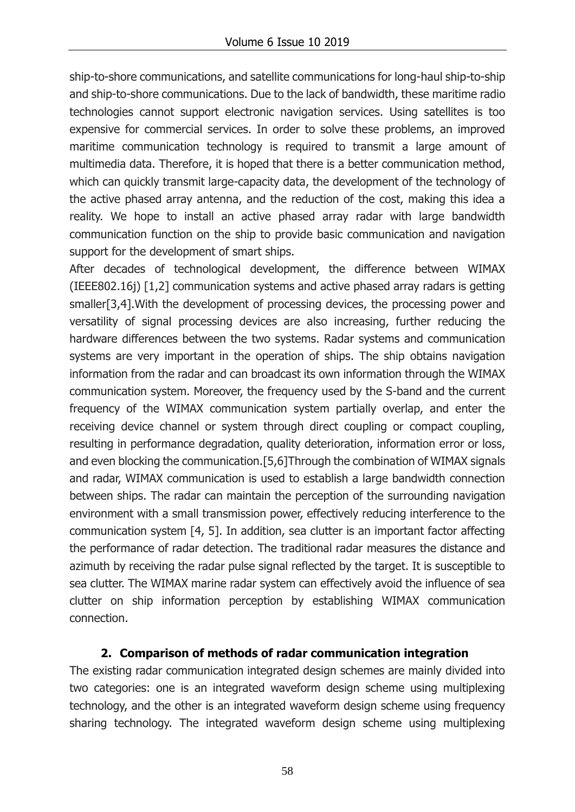ship-to-shore communications, and satellite communications for long-haul ship-to-ship and ship-to-shore communications. Due to the lack of bandwidth, these maritime radio technologies cannot support electronic navigation services. Using satellites is too expensive for commercial services. In order to solve these problems, an improved maritime communication technology is required to transmit a large amount of multimedia data. Therefore, it is hoped that there is a better communication method, which can quickly transmit large-capacity data, the development of the technology of the active phased array antenna, and the reduction of the cost, making this idea a reality. We hope to install an active phased array radar with large bandwidth communication function on the ship to provide basic communication and navigation support for the development of smart ships.

After decades of technological development, the difference between WIMAX (IEEE802.16j) [1,2] communication systems and active phased array radars is getting smaller[3,4].With the development of processing devices, the processing power and versatility of signal processing devices are also increasing, further reducing the hardware differences between the two systems. Radar systems and communication systems are very important in the operation of ships. The ship obtains navigation information from the radar and can broadcast its own information through the WIMAX communication system. Moreover, the frequency used by the S-band and the current frequency of the WIMAX communication system partially overlap, and enter the receiving device channel or system through direct coupling or compact coupling, resulting in performance degradation, quality deterioration, information error or loss, and even blocking the communication.[5,6]Through the combination of WIMAX signals and radar, WIMAX communication is used to establish a large bandwidth connection between ships. The radar can maintain the perception of the surrounding navigation environment with a small transmission power, effectively reducing interference to the communication system [4, 5]. In addition, sea clutter is an important factor affecting the performance of radar detection. The traditional radar measures the distance and azimuth by receiving the radar pulse signal reflected by the target. It is susceptible to sea clutter. The WIMAX marine radar system can effectively avoid the influence of sea clutter on ship information perception by establishing WIMAX communication connection.

# **2. Comparison of methods of radar communication integration**

The existing radar communication integrated design schemes are mainly divided into two categories: one is an integrated waveform design scheme using multiplexing technology, and the other is an integrated waveform design scheme using frequency sharing technology. The integrated waveform design scheme using multiplexing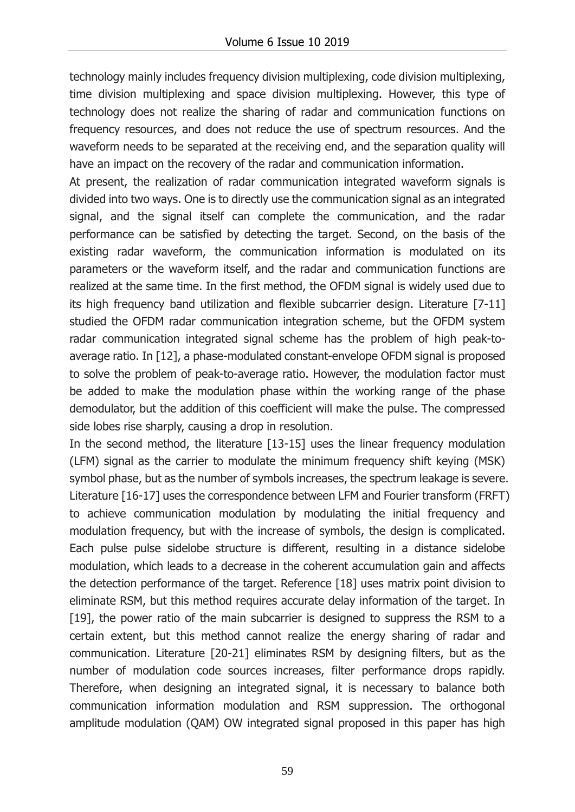technology mainly includes frequency division multiplexing, code division multiplexing, time division multiplexing and space division multiplexing. However, this type of technology does not realize the sharing of radar and communication functions on frequency resources, and does not reduce the use of spectrum resources. And the waveform needs to be separated at the receiving end, and the separation quality will have an impact on the recovery of the radar and communication information.

At present, the realization of radar communication integrated waveform signals is divided into two ways. One is to directly use the communication signal as an integrated signal, and the signal itself can complete the communication, and the radar performance can be satisfied by detecting the target. Second, on the basis of the existing radar waveform, the communication information is modulated on its parameters or the waveform itself, and the radar and communication functions are realized at the same time. In the first method, the OFDM signal is widely used due to its high frequency band utilization and flexible subcarrier design. Literature [7-11] studied the OFDM radar communication integration scheme, but the OFDM system radar communication integrated signal scheme has the problem of high peak-toaverage ratio. In [12], a phase-modulated constant-envelope OFDM signal is proposed to solve the problem of peak-to-average ratio. However, the modulation factor must be added to make the modulation phase within the working range of the phase demodulator, but the addition of this coefficient will make the pulse. The compressed side lobes rise sharply, causing a drop in resolution.

In the second method, the literature [13-15] uses the linear frequency modulation (LFM) signal as the carrier to modulate the minimum frequency shift keying (MSK) symbol phase, but as the number of symbols increases, the spectrum leakage is severe. Literature [16-17] uses the correspondence between LFM and Fourier transform (FRFT) to achieve communication modulation by modulating the initial frequency and modulation frequency, but with the increase of symbols, the design is complicated. Each pulse pulse sidelobe structure is different, resulting in a distance sidelobe modulation, which leads to a decrease in the coherent accumulation gain and affects the detection performance of the target. Reference [18] uses matrix point division to eliminate RSM, but this method requires accurate delay information of the target. In [19], the power ratio of the main subcarrier is designed to suppress the RSM to a certain extent, but this method cannot realize the energy sharing of radar and communication. Literature [20-21] eliminates RSM by designing filters, but as the number of modulation code sources increases, filter performance drops rapidly. Therefore, when designing an integrated signal, it is necessary to balance both communication information modulation and RSM suppression. The orthogonal amplitude modulation (QAM) OW integrated signal proposed in this paper has high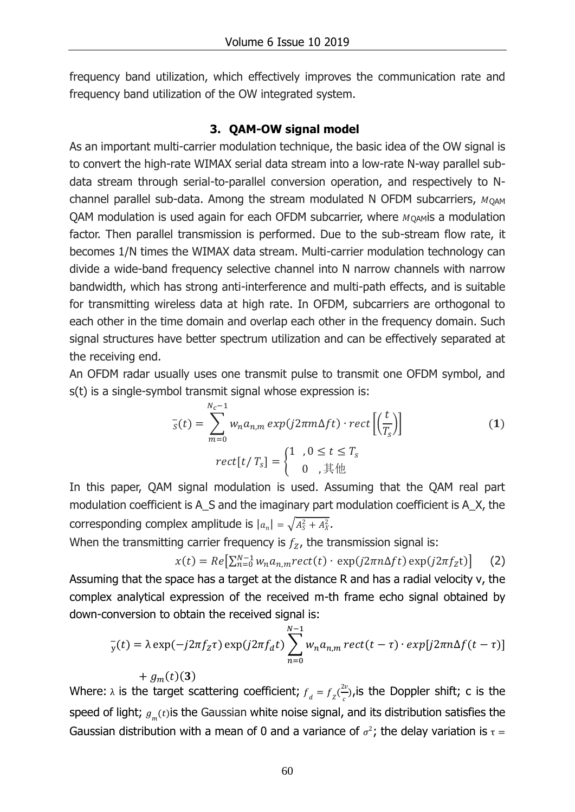frequency band utilization, which effectively improves the communication rate and frequency band utilization of the OW integrated system.

# **3. QAM-OW signal model**

As an important multi-carrier modulation technique, the basic idea of the OW signal is to convert the high-rate WIMAX serial data stream into a low-rate N-way parallel subdata stream through serial-to-parallel conversion operation, and respectively to Nchannel parallel sub-data. Among the stream modulated N OFDM subcarriers,  $M_{OAM}$ QAM modulation is used again for each OFDM subcarrier, where  $M_{\text{OAM}}$  a modulation factor. Then parallel transmission is performed. Due to the sub-stream flow rate, it becomes 1/N times the WIMAX data stream. Multi-carrier modulation technology can divide a wide-band frequency selective channel into N narrow channels with narrow bandwidth, which has strong anti-interference and multi-path effects, and is suitable for transmitting wireless data at high rate. In OFDM, subcarriers are orthogonal to each other in the time domain and overlap each other in the frequency domain. Such signal structures have better spectrum utilization and can be effectively separated at the receiving end.

An OFDM radar usually uses one transmit pulse to transmit one OFDM symbol, and s(t) is a single-symbol transmit signal whose expression is:

$$
\overline{s}(t) = \sum_{m=0}^{N_c - 1} w_n a_{n,m} \exp(j2\pi m \Delta ft) \cdot \text{rect}\left[\left(\frac{t}{T_s}\right)\right]
$$
\n
$$
\text{rect}[t/T_s] = \begin{cases} 1, & 0 \le t \le T_s \\ 0, & \text{if } t \le T_s \end{cases} \tag{1}
$$

In this paper, QAM signal modulation is used. Assuming that the QAM real part modulation coefficient is A\_S and the imaginary part modulation coefficient is A\_X, the corresponding complex amplitude is  $|a_n| = \sqrt{A_s^2 + A_x^2}$ .

When the transmitting carrier frequency is  $f<sub>Z</sub>$ , the transmission signal is:

 $x(t) = Re\left[\sum_{n=0}^{N-1} w_n a_{n,m} rect(t) \cdot exp(j2\pi n \Delta ft) exp(j2\pi f_z t)\right]$  (2)

Assuming that the space has a target at the distance R and has a radial velocity v, the complex analytical expression of the received m-th frame echo signal obtained by down-conversion to obtain the received signal is:

$$
\overline{y}(t) = \lambda \exp(-j2\pi f_z \tau) \exp(j2\pi f_d t) \sum_{n=0}^{N-1} w_n a_{n,m} rect(t-\tau) \cdot exp[j2\pi n \Delta f(t-\tau)]
$$

 $+ g_m(t)$ (3) Where:  $\lambda$  is the target scattering coefficient;  $f_d = f_Z(\frac{2\nu}{c})$  $\frac{\partial^2 v}{\partial x^2}$ ),is the Doppler shift; c is the speed of light;  $g_{_m}(t)$ is the Gaussian white noise signal, and its distribution satisfies the Gaussian distribution with a mean of 0 and a variance of  $\sigma^2$ ; the delay variation is  $\tau =$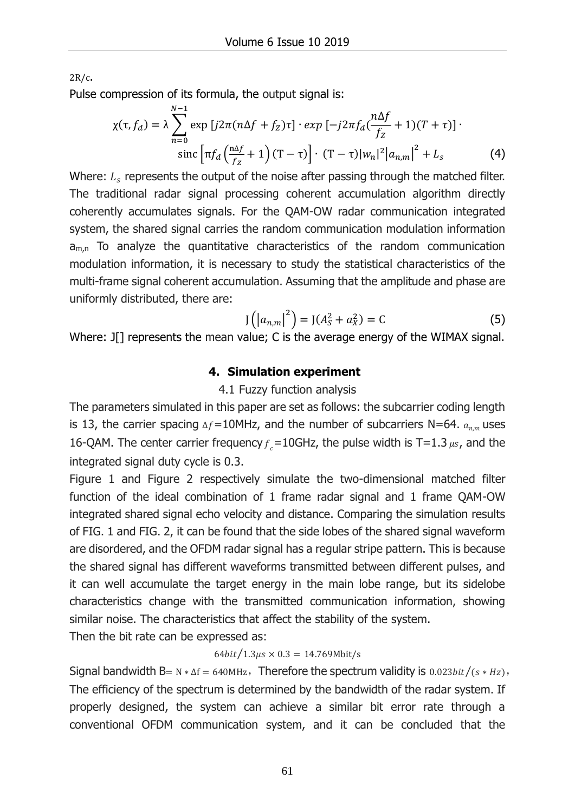2R/c.

Pulse compression of its formula, the output signal is:

$$
\chi(\tau, f_d) = \lambda \sum_{n=0}^{N-1} \exp\left[j2\pi(n\Delta f + f_z)\tau\right] \cdot \exp\left[-j2\pi f_d \left(\frac{n\Delta f}{f_z} + 1\right)(T + \tau)\right] \cdot \sin\left[\pi f_d \left(\frac{n\Delta f}{f_z} + 1\right)(T - \tau)\right] \cdot (T - \tau)|w_n|^2 |a_{n,m}|^2 + L_s \tag{4}
$$

Where:  $L_s$  represents the output of the noise after passing through the matched filter. The traditional radar signal processing coherent accumulation algorithm directly coherently accumulates signals. For the QAM-OW radar communication integrated system, the shared signal carries the random communication modulation information  $a_{m,n}$  To analyze the quantitative characteristics of the random communication modulation information, it is necessary to study the statistical characteristics of the multi-frame signal coherent accumulation. Assuming that the amplitude and phase are uniformly distributed, there are:

$$
J(|a_{n,m}|^2) = J(A_S^2 + a_X^2) = C
$$
 (5)

Where: J[] represents the mean value; C is the average energy of the WIMAX signal.

# **4. Simulation experiment**

## 4.1 Fuzzy function analysis

The parameters simulated in this paper are set as follows: the subcarrier coding length is 13, the carrier spacing  $\Delta f=10$ MHz, and the number of subcarriers N=64.  $a_{n,m}$  uses 16-QAM. The center carrier frequency  $f<sub>e</sub>$  = 10GHz, the pulse width is T=1.3  $\mu s$ , and the integrated signal duty cycle is 0.3.

Figure 1 and Figure 2 respectively simulate the two-dimensional matched filter function of the ideal combination of 1 frame radar signal and 1 frame QAM-OW integrated shared signal echo velocity and distance. Comparing the simulation results of FIG. 1 and FIG. 2, it can be found that the side lobes of the shared signal waveform are disordered, and the OFDM radar signal has a regular stripe pattern. This is because the shared signal has different waveforms transmitted between different pulses, and it can well accumulate the target energy in the main lobe range, but its sidelobe characteristics change with the transmitted communication information, showing similar noise. The characteristics that affect the stability of the system.

Then the bit rate can be expressed as:

## $64bit/1.3 \mu s \times 0.3 = 14.769 Mbit/s$

Signal bandwidth B= N  $*\Delta f = 640$ MHz, Therefore the spectrum validity is 0.023*bit*/( $s * Hz$ ), The efficiency of the spectrum is determined by the bandwidth of the radar system. If properly designed, the system can achieve a similar bit error rate through a conventional OFDM communication system, and it can be concluded that the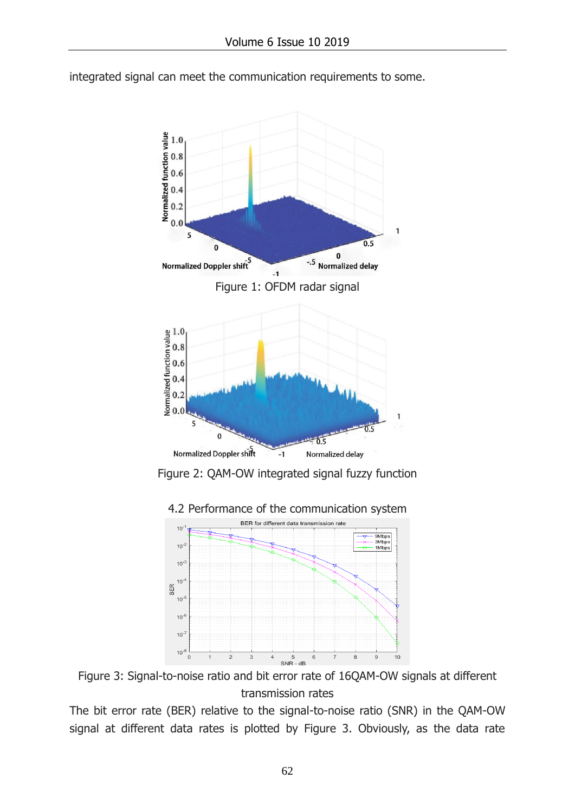



Figure 2: QAM-OW integrated signal fuzzy function



4.2 Performance of the communication system

Figure 3: Signal-to-noise ratio and bit error rate of 16QAM-OW signals at different transmission rates

The bit error rate (BER) relative to the signal-to-noise ratio (SNR) in the QAM-OW signal at different data rates is plotted by Figure 3. Obviously, as the data rate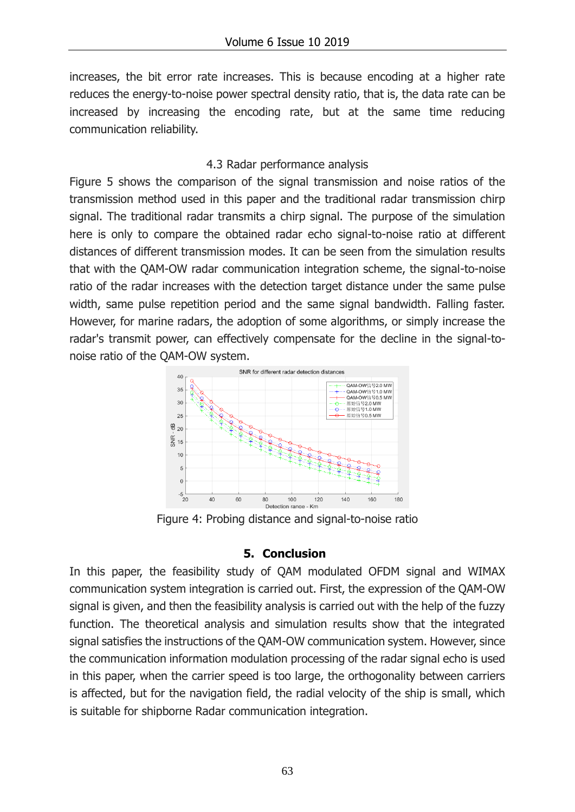increases, the bit error rate increases. This is because encoding at a higher rate reduces the energy-to-noise power spectral density ratio, that is, the data rate can be increased by increasing the encoding rate, but at the same time reducing communication reliability.

# 4.3 Radar performance analysis

Figure 5 shows the comparison of the signal transmission and noise ratios of the transmission method used in this paper and the traditional radar transmission chirp signal. The traditional radar transmits a chirp signal. The purpose of the simulation here is only to compare the obtained radar echo signal-to-noise ratio at different distances of different transmission modes. It can be seen from the simulation results that with the QAM-OW radar communication integration scheme, the signal-to-noise ratio of the radar increases with the detection target distance under the same pulse width, same pulse repetition period and the same signal bandwidth. Falling faster. However, for marine radars, the adoption of some algorithms, or simply increase the radar's transmit power, can effectively compensate for the decline in the signal-tonoise ratio of the QAM-OW system.



Figure 4: Probing distance and signal-to-noise ratio

## **5. Conclusion**

In this paper, the feasibility study of QAM modulated OFDM signal and WIMAX communication system integration is carried out. First, the expression of the QAM-OW signal is given, and then the feasibility analysis is carried out with the help of the fuzzy function. The theoretical analysis and simulation results show that the integrated signal satisfies the instructions of the QAM-OW communication system. However, since the communication information modulation processing of the radar signal echo is used in this paper, when the carrier speed is too large, the orthogonality between carriers is affected, but for the navigation field, the radial velocity of the ship is small, which is suitable for shipborne Radar communication integration.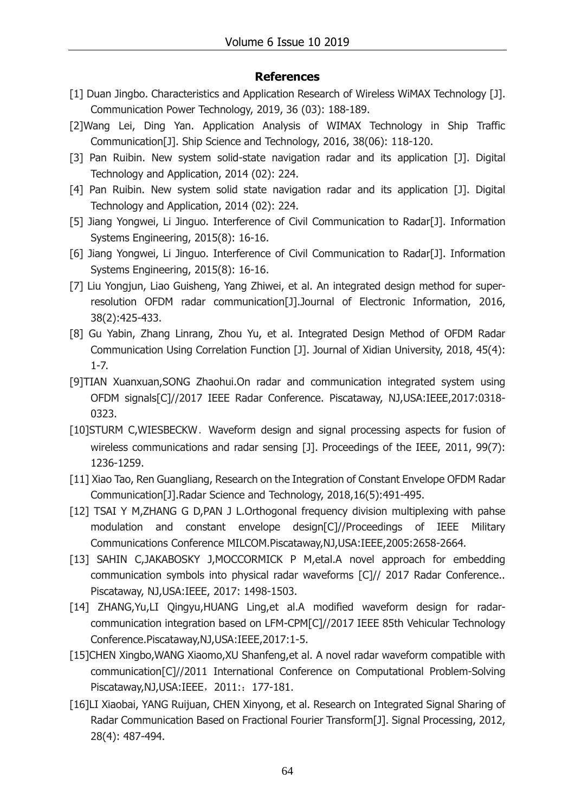#### **References**

- [1] Duan Jingbo. Characteristics and Application Research of Wireless WiMAX Technology [J]. Communication Power Technology, 2019, 36 (03): 188-189.
- [2]Wang Lei, Ding Yan. Application Analysis of WIMAX Technology in Ship Traffic Communication[J]. Ship Science and Technology, 2016, 38(06): 118-120.
- [3] Pan Ruibin. New system solid-state navigation radar and its application [J]. Digital Technology and Application, 2014 (02): 224.
- [4] Pan Ruibin. New system solid state navigation radar and its application [J]. Digital Technology and Application, 2014 (02): 224.
- [5] Jiang Yongwei, Li Jinguo. Interference of Civil Communication to Radar[J]. Information Systems Engineering, 2015(8): 16-16.
- [6] Jiang Yongwei, Li Jinguo. Interference of Civil Communication to Radar[J]. Information Systems Engineering, 2015(8): 16-16.
- [7] Liu Yongjun, Liao Guisheng, Yang Zhiwei, et al. An integrated design method for superresolution OFDM radar communication[J].Journal of Electronic Information, 2016, 38(2):425-433.
- [8] Gu Yabin, Zhang Linrang, Zhou Yu, et al. Integrated Design Method of OFDM Radar Communication Using Correlation Function [J]. Journal of Xidian University, 2018, 45(4): 1-7.
- [9]TIAN Xuanxuan,SONG Zhaohui.On radar and communication integrated system using OFDM signals[C]//2017 IEEE Radar Conference. Piscataway, NJ,USA:IEEE,2017:0318- 0323.
- [10]STURM C,WIESBECKW. Waveform design and signal processing aspects for fusion of wireless communications and radar sensing [J]. Proceedings of the IEEE, 2011, 99(7): 1236-1259.
- [11] Xiao Tao, Ren Guangliang, Research on the Integration of Constant Envelope OFDM Radar Communication[J].Radar Science and Technology, 2018,16(5):491-495.
- [12] TSAI Y M, ZHANG G D, PAN J L. Orthogonal frequency division multiplexing with pahse modulation and constant envelope design[C]//Proceedings of IEEE Military Communications Conference MILCOM.Piscataway,NJ,USA:IEEE,2005:2658-2664.
- [13] SAHIN C, JAKABOSKY J, MOCCORMICK P M, etal.A novel approach for embedding communication symbols into physical radar waveforms [C]// 2017 Radar Conference.. Piscataway, NJ,USA:IEEE, 2017: 1498-1503.
- [14] ZHANG, Yu, LI Qingyu, HUANG Ling, et al. A modified waveform design for radarcommunication integration based on LFM-CPM[C]//2017 IEEE 85th Vehicular Technology Conference.Piscataway,NJ,USA:IEEE,2017:1-5.
- [15]CHEN Xingbo,WANG Xiaomo,XU Shanfeng,et al. A novel radar waveform compatible with communication[C]//2011 International Conference on Computational Problem-Solving Piscataway, NJ, USA: IEEE, 2011: 177-181.
- [16]LI Xiaobai, YANG Ruijuan, CHEN Xinyong, et al. Research on Integrated Signal Sharing of Radar Communication Based on Fractional Fourier Transform[J]. Signal Processing, 2012, 28(4): 487-494.